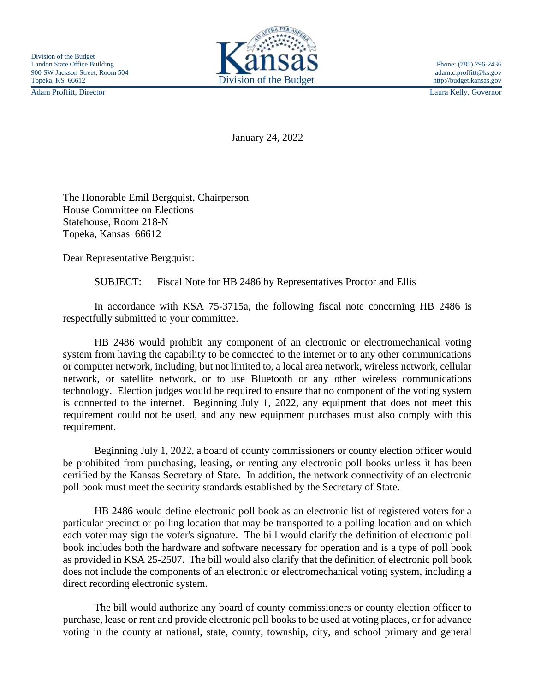Adam Proffitt, Director Laura Kelly, Governor



January 24, 2022

The Honorable Emil Bergquist, Chairperson House Committee on Elections Statehouse, Room 218-N Topeka, Kansas 66612

Dear Representative Bergquist:

SUBJECT: Fiscal Note for HB 2486 by Representatives Proctor and Ellis

In accordance with KSA 75-3715a, the following fiscal note concerning HB 2486 is respectfully submitted to your committee.

HB 2486 would prohibit any component of an electronic or electromechanical voting system from having the capability to be connected to the internet or to any other communications or computer network, including, but not limited to, a local area network, wireless network, cellular network, or satellite network, or to use Bluetooth or any other wireless communications technology. Election judges would be required to ensure that no component of the voting system is connected to the internet. Beginning July 1, 2022, any equipment that does not meet this requirement could not be used, and any new equipment purchases must also comply with this requirement.

Beginning July 1, 2022, a board of county commissioners or county election officer would be prohibited from purchasing, leasing, or renting any electronic poll books unless it has been certified by the Kansas Secretary of State. In addition, the network connectivity of an electronic poll book must meet the security standards established by the Secretary of State.

HB 2486 would define electronic poll book as an electronic list of registered voters for a particular precinct or polling location that may be transported to a polling location and on which each voter may sign the voter's signature. The bill would clarify the definition of electronic poll book includes both the hardware and software necessary for operation and is a type of poll book as provided in KSA 25-2507. The bill would also clarify that the definition of electronic poll book does not include the components of an electronic or electromechanical voting system, including a direct recording electronic system.

The bill would authorize any board of county commissioners or county election officer to purchase, lease or rent and provide electronic poll books to be used at voting places, or for advance voting in the county at national, state, county, township, city, and school primary and general